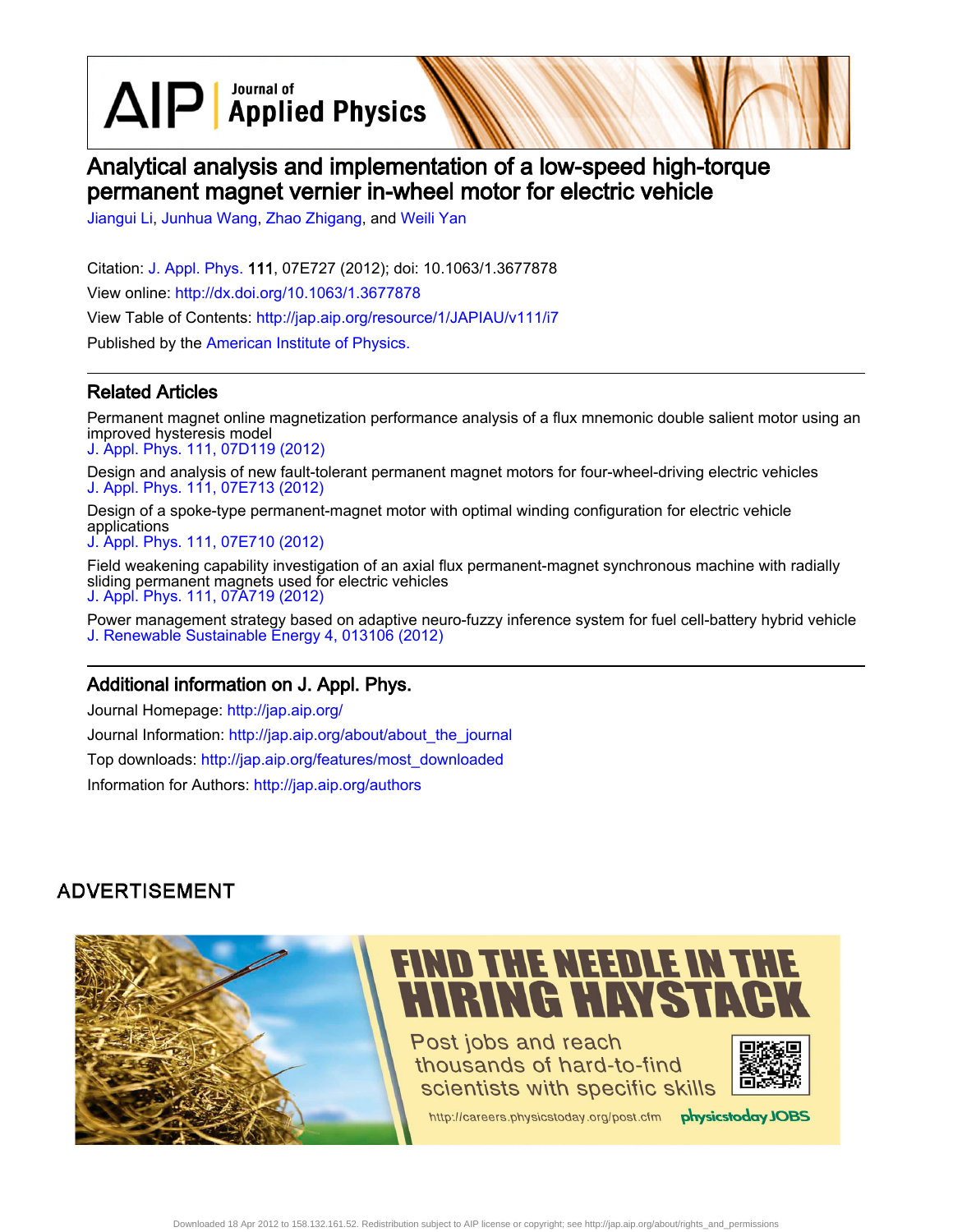$\text{AlP}$  Applied Physics

# Analytical analysis and implementation of a low-speed high-torque permanent magnet vernier in-wheel motor for electric vehicle

[Jiangui Li](http://jap.aip.org/search?sortby=newestdate&q=&searchzone=2&searchtype=searchin&faceted=faceted&key=AIP_ALL&possible1=Jiangui Li&possible1zone=author&alias=&displayid=AIP&ver=pdfcov), [Junhua Wang](http://jap.aip.org/search?sortby=newestdate&q=&searchzone=2&searchtype=searchin&faceted=faceted&key=AIP_ALL&possible1=Junhua Wang&possible1zone=author&alias=&displayid=AIP&ver=pdfcov), [Zhao Zhigang,](http://jap.aip.org/search?sortby=newestdate&q=&searchzone=2&searchtype=searchin&faceted=faceted&key=AIP_ALL&possible1=Zhao Zhigang&possible1zone=author&alias=&displayid=AIP&ver=pdfcov) and [Weili Yan](http://jap.aip.org/search?sortby=newestdate&q=&searchzone=2&searchtype=searchin&faceted=faceted&key=AIP_ALL&possible1=Weili Yan&possible1zone=author&alias=&displayid=AIP&ver=pdfcov)

Citation: [J. Appl. Phys.](http://jap.aip.org/?ver=pdfcov) 111, 07E727 (2012); doi: 10.1063/1.3677878 View online: [http://dx.doi.org/10.1063/1.3677878](http://link.aip.org/link/doi/10.1063/1.3677878?ver=pdfcov) View Table of Contents: [http://jap.aip.org/resource/1/JAPIAU/v111/i7](http://jap.aip.org/resource/1/JAPIAU/v111/i7?ver=pdfcov) Published by the [American Institute of Physics.](http://www.aip.org/?ver=pdfcov)

### Related Articles

Permanent magnet online magnetization performance analysis of a flux mnemonic double salient motor using an improved hysteresis model [J. Appl. Phys. 111, 07D119 \(2012\)](http://link.aip.org/link/doi/10.1063/1.3676049?ver=pdfcov)

Design and analysis of new fault-tolerant permanent magnet motors for four-wheel-driving electric vehicles [J. Appl. Phys. 111, 07E713 \(2012\)](http://link.aip.org/link/doi/10.1063/1.3672853?ver=pdfcov)

Design of a spoke-type permanent-magnet motor with optimal winding configuration for electric vehicle applications

[J. Appl. Phys. 111, 07E710 \(2012\)](http://link.aip.org/link/doi/10.1063/1.3672077?ver=pdfcov)

Field weakening capability investigation of an axial flux permanent-magnet synchronous machine with radially sliding permanent magnets used for electric vehicles [J. Appl. Phys. 111, 07A719 \(2012\)](http://link.aip.org/link/doi/10.1063/1.3676230?ver=pdfcov)

Power management strategy based on adaptive neuro-fuzzy inference system for fuel cell-battery hybrid vehicle [J. Renewable Sustainable Energy 4, 013106 \(2012\)](http://link.aip.org/link/doi/10.1063/1.3682057?ver=pdfcov)

#### Additional information on J. Appl. Phys.

Journal Homepage: [http://jap.aip.org/](http://jap.aip.org/?ver=pdfcov) Journal Information: [http://jap.aip.org/about/about\\_the\\_journal](http://jap.aip.org/about/about_the_journal?ver=pdfcov) Top downloads: [http://jap.aip.org/features/most\\_downloaded](http://jap.aip.org/features/most_downloaded?ver=pdfcov) Information for Authors: [http://jap.aip.org/authors](http://jap.aip.org/authors?ver=pdfcov)

## **ADVERTISEMENT**

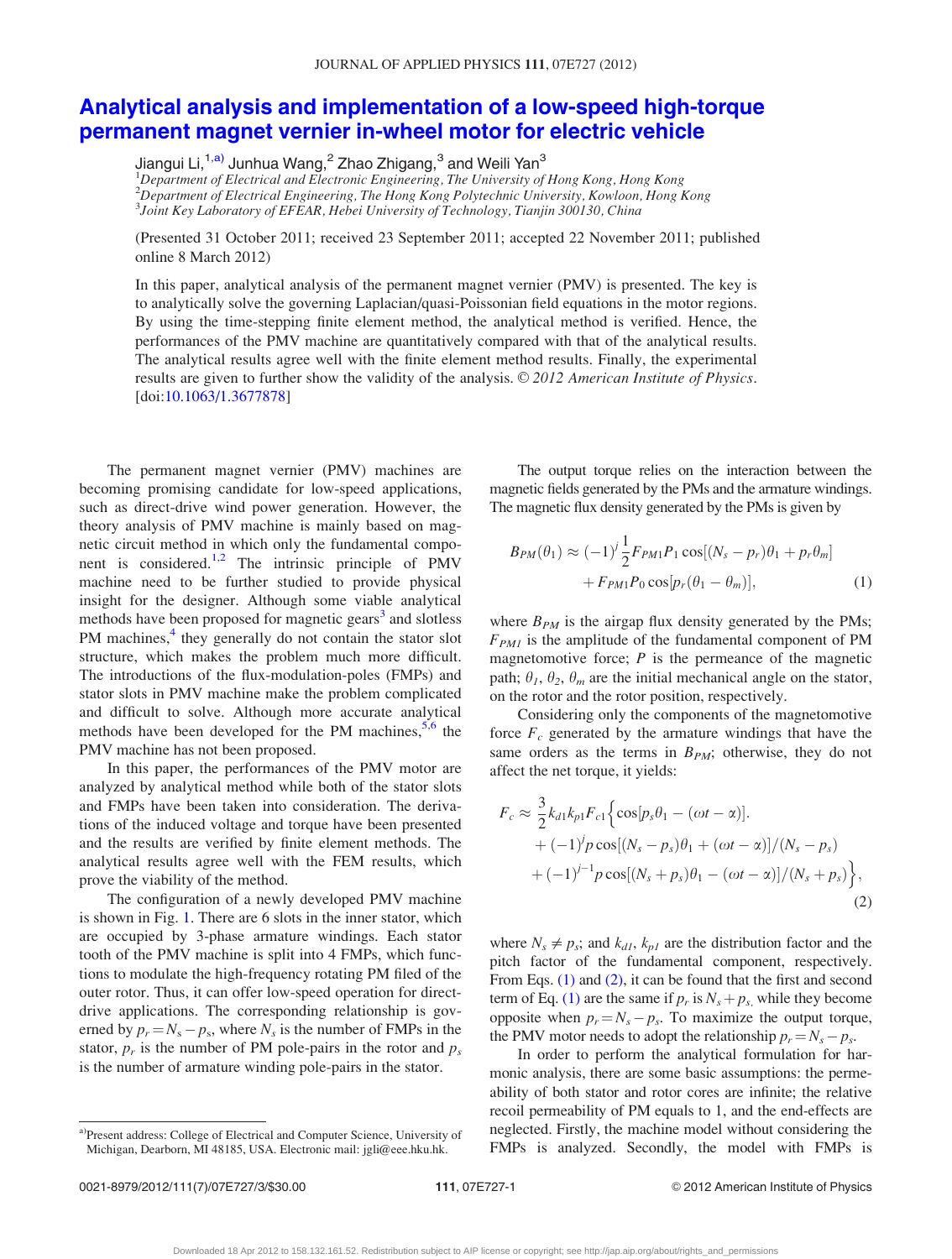## [Analytical analysis and implementation of a low-speed high-torque](http://dx.doi.org/10.1063/1.3677878) [permanent magnet vernier in-wheel motor for electric vehicle](http://dx.doi.org/10.1063/1.3677878)

Jiangui Li,<sup>1,a)</sup> Junhua Wang,<sup>2</sup> Zhao Zhigang,<sup>3</sup> and Weili Yan<sup>3</sup>

<sup>1</sup>Department of Electrical and Electronic Engineering, The University of Hong Kong, Hong Kong 2 Department of Electrical Engineering, The Hong Kong Polytechnic University, Kowloon, Hong Kong 3 Joint Key Laboratory of EFEAR, Hebei University of Technology, Tianjin 300130, China

(Presented 31 October 2011; received 23 September 2011; accepted 22 November 2011; published online 8 March 2012)

In this paper, analytical analysis of the permanent magnet vernier (PMV) is presented. The key is to analytically solve the governing Laplacian/quasi-Poissonian field equations in the motor regions. By using the time-stepping finite element method, the analytical method is verified. Hence, the performances of the PMV machine are quantitatively compared with that of the analytical results. The analytical results agree well with the finite element method results. Finally, the experimental results are given to further show the validity of the analysis.  $\odot$  2012 American Institute of Physics. [doi:[10.1063/1.3677878\]](http://dx.doi.org/10.1063/1.3677878)

The permanent magnet vernier (PMV) machines are becoming promising candidate for low-speed applications, such as direct-drive wind power generation. However, the theory analysis of PMV machine is mainly based on magnetic circuit method in which only the fundamental compo-nent is considered.<sup>[1,2](#page-3-0)</sup> The intrinsic principle of PMV machine need to be further studied to provide physical insight for the designer. Although some viable analytical methods have been proposed for magnetic gears<sup>[3](#page-3-0)</sup> and slotless PM machines,<sup>[4](#page-3-0)</sup> they generally do not contain the stator slot structure, which makes the problem much more difficult. The introductions of the flux-modulation-poles (FMPs) and stator slots in PMV machine make the problem complicated and difficult to solve. Although more accurate analytical methods have been developed for the PM machines,  $5.6$  $5.6$  the PMV machine has not been proposed.

In this paper, the performances of the PMV motor are analyzed by analytical method while both of the stator slots and FMPs have been taken into consideration. The derivations of the induced voltage and torque have been presented and the results are verified by finite element methods. The analytical results agree well with the FEM results, which prove the viability of the method.

The configuration of a newly developed PMV machine is shown in Fig. [1.](#page-2-0) There are 6 slots in the inner stator, which are occupied by 3-phase armature windings. Each stator tooth of the PMV machine is split into 4 FMPs, which functions to modulate the high-frequency rotating PM filed of the outer rotor. Thus, it can offer low-speed operation for directdrive applications. The corresponding relationship is governed by  $p_r = N_s - p_s$ , where  $N_s$  is the number of FMPs in the stator,  $p_r$  is the number of PM pole-pairs in the rotor and  $p_s$ is the number of armature winding pole-pairs in the stator.

The output torque relies on the interaction between the magnetic fields generated by the PMs and the armature windings. The magnetic flux density generated by the PMs is given by

$$
B_{PM}(\theta_1) \approx (-1)^j \frac{1}{2} F_{PM1} P_1 \cos[(N_s - p_r)\theta_1 + p_r \theta_m] + F_{PM1} P_0 \cos[p_r(\theta_1 - \theta_m)], \qquad (1)
$$

where  $B_{PM}$  is the airgap flux density generated by the PMs;  $F_{PM1}$  is the amplitude of the fundamental component of PM magnetomotive force;  $P$  is the permeance of the magnetic path;  $\theta_1$ ,  $\theta_2$ ,  $\theta_m$  are the initial mechanical angle on the stator, on the rotor and the rotor position, respectively.

Considering only the components of the magnetomotive force  $F_c$  generated by the armature windings that have the same orders as the terms in  $B_{PM}$ ; otherwise, they do not affect the net torque, it yields:

$$
F_c \approx \frac{3}{2} k_{d1} k_{p1} F_{c1} \Big\{ \cos[p_s \theta_1 - (\omega t - \alpha)]. + (-1)^j p \cos[(N_s - p_s) \theta_1 + (\omega t - \alpha)]/(N_s - p_s) + (-1)^{j-1} p \cos[(N_s + p_s) \theta_1 - (\omega t - \alpha)]/(N_s + p_s) \Big\},
$$
(2)

where  $N_s \neq p_s$ ; and  $k_{d1}$ ,  $k_{p1}$  are the distribution factor and the pitch factor of the fundamental component, respectively. From Eqs. (1) and (2), it can be found that the first and second term of Eq. (1) are the same if  $p_r$  is  $N_s + p_s$ , while they become opposite when  $p_r = N_s - p_s$ . To maximize the output torque, the PMV motor needs to adopt the relationship  $p_r = N_s - p_s$ .

In order to perform the analytical formulation for harmonic analysis, there are some basic assumptions: the permeability of both stator and rotor cores are infinite; the relative recoil permeability of PM equals to 1, and the end-effects are neglected. Firstly, the machine model without considering the FMPs is analyzed. Secondly, the model with FMPs is

<sup>&</sup>lt;sup>a)</sup>Present address: College of Electrical and Computer Science, University of Michigan, Dearborn, MI 48185, USA. Electronic mail: jgli@eee.hku.hk.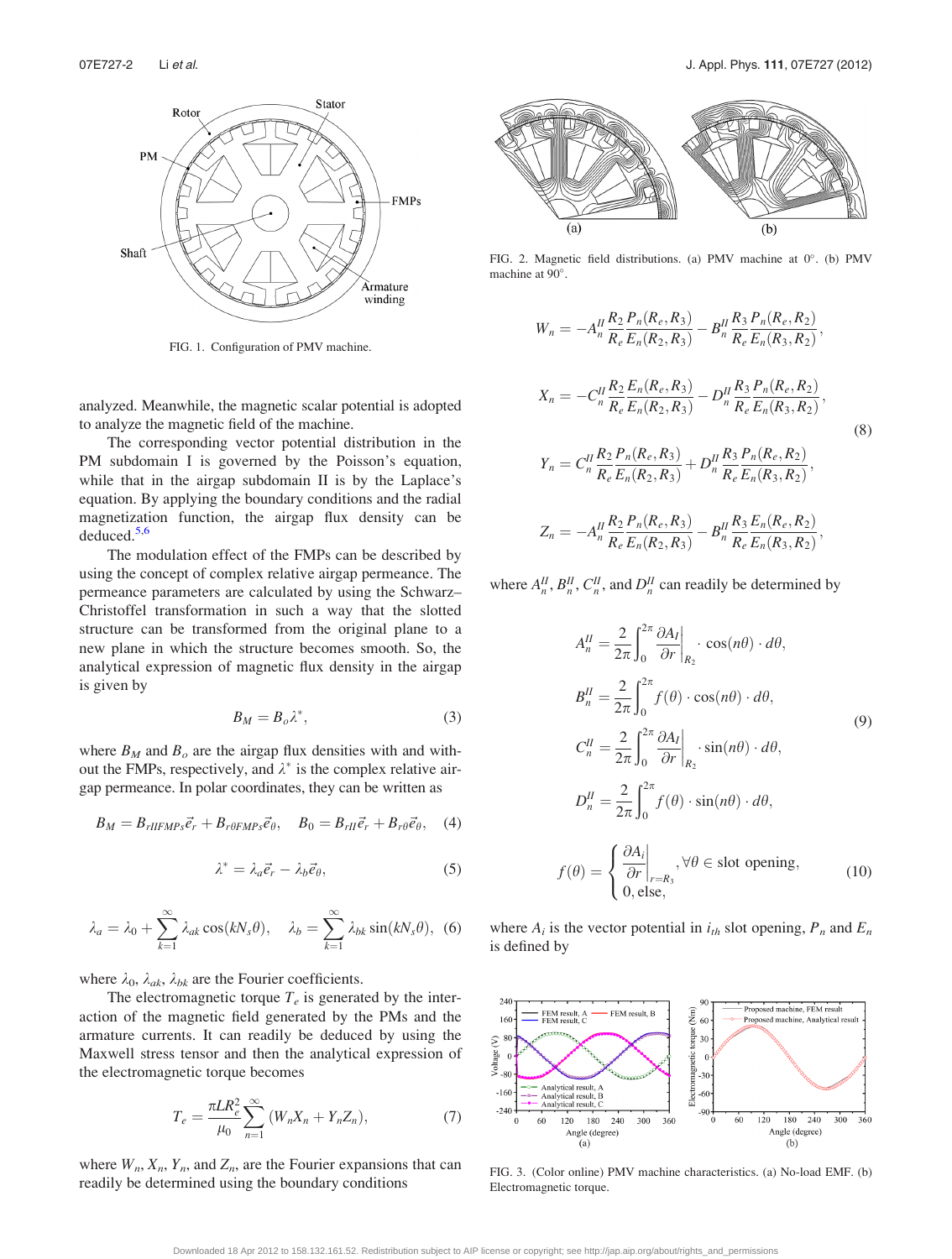<span id="page-2-0"></span>

FIG. 1. Configuration of PMV machine.

analyzed. Meanwhile, the magnetic scalar potential is adopted to analyze the magnetic field of the machine.

The corresponding vector potential distribution in the PM subdomain I is governed by the Poisson's equation, while that in the airgap subdomain II is by the Laplace's equation. By applying the boundary conditions and the radial magnetization function, the airgap flux density can be deduced.[5,6](#page-3-0)

The modulation effect of the FMPs can be described by using the concept of complex relative airgap permeance. The permeance parameters are calculated by using the Schwarz– Christoffel transformation in such a way that the slotted structure can be transformed from the original plane to a new plane in which the structure becomes smooth. So, the analytical expression of magnetic flux density in the airgap is given by

$$
B_M = B_o \lambda^*,\tag{3}
$$

where  $B_M$  and  $B_o$  are the airgap flux densities with and without the FMPs, respectively, and  $\lambda^*$  is the complex relative airgap permeance. In polar coordinates, they can be written as

$$
B_M = B_{rIIFMPs}\vec{e}_r + B_{r\theta FMPs}\vec{e}_\theta, \quad B_0 = B_{rI}\vec{e}_r + B_{r\theta}\vec{e}_\theta, \quad (4)
$$

$$
\lambda^* = \lambda_a \vec{e}_r - \lambda_b \vec{e}_\theta,\tag{5}
$$

$$
\lambda_a = \lambda_0 + \sum_{k=1}^{\infty} \lambda_{ak} \cos(kN_s \theta), \quad \lambda_b = \sum_{k=1}^{\infty} \lambda_{bk} \sin(kN_s \theta), \tag{6}
$$

where  $\lambda_0$ ,  $\lambda_{ak}$ ,  $\lambda_{bk}$  are the Fourier coefficients.

The electromagnetic torque  $T_e$  is generated by the interaction of the magnetic field generated by the PMs and the armature currents. It can readily be deduced by using the Maxwell stress tensor and then the analytical expression of the electromagnetic torque becomes

$$
T_e = \frac{\pi L R_e^2}{\mu_0} \sum_{n=1}^{\infty} (W_n X_n + Y_n Z_n),
$$
 (7)

where  $W_n$ ,  $X_n$ ,  $Y_n$ , and  $Z_n$ , are the Fourier expansions that can readily be determined using the boundary conditions



FIG. 2. Magnetic field distributions. (a) PMV machine at  $0^\circ$ . (b) PMV machine at 90°.

$$
W_n = -A_n^H \frac{R_2}{R_e} \frac{P_n(R_e, R_3)}{E_n(R_2, R_3)} - B_n^H \frac{R_3}{R_e} \frac{P_n(R_e, R_2)}{E_n(R_3, R_2)},
$$
  
\n
$$
X_n = -C_n^H \frac{R_2}{R_e} \frac{E_n(R_e, R_3)}{E_n(R_2, R_3)} - D_n^H \frac{R_3}{R_e} \frac{P_n(R_e, R_2)}{E_n(R_3, R_2)},
$$
  
\n
$$
Y_n = C_n^H \frac{R_2}{R_e} \frac{P_n(R_e, R_3)}{E_n(R_2, R_3)} + D_n^H \frac{R_3}{R_e} \frac{P_n(R_e, R_2)}{E_n(R_3, R_2)},
$$
  
\n
$$
P_n P_n (R_n, R_3)
$$

$$
Z_n = -A_n^H \frac{R_2 P_n(R_e, R_3)}{R_e E_n(R_2, R_3)} -B_n^H \frac{R_3 E_n(R_e, R_2)}{R_e E_n(R_3, R_2)},
$$

where  $A_n^H$ ,  $B_n^H$ ,  $C_n^H$ , and  $D_n^H$  can readily be determined by

$$
A_n^H = \frac{2}{2\pi} \int_0^{2\pi} \frac{\partial A_I}{\partial r} \Big|_{R_2} \cdot \cos(n\theta) \cdot d\theta,
$$
  
\n
$$
B_n^H = \frac{2}{2\pi} \int_0^{2\pi} f(\theta) \cdot \cos(n\theta) \cdot d\theta,
$$
  
\n
$$
C_n^H = \frac{2}{2\pi} \int_0^{2\pi} \frac{\partial A_I}{\partial r} \Big|_{R_2} \cdot \sin(n\theta) \cdot d\theta,
$$
  
\n
$$
D_n^H = \frac{2}{2\pi} \int_0^{2\pi} f(\theta) \cdot \sin(n\theta) \cdot d\theta,
$$
  
\n
$$
f(\theta) = \begin{cases} \frac{\partial A_i}{\partial r} \Big|_{r=R_3}, \forall \theta \in \text{slot opening}, \\ 0, \text{else}, \end{cases}
$$
 (10)

where  $A_i$  is the vector potential in  $i_{th}$  slot opening,  $P_n$  and  $E_n$ is defined by



FIG. 3. (Color online) PMV machine characteristics. (a) No-load EMF. (b) Electromagnetic torque.